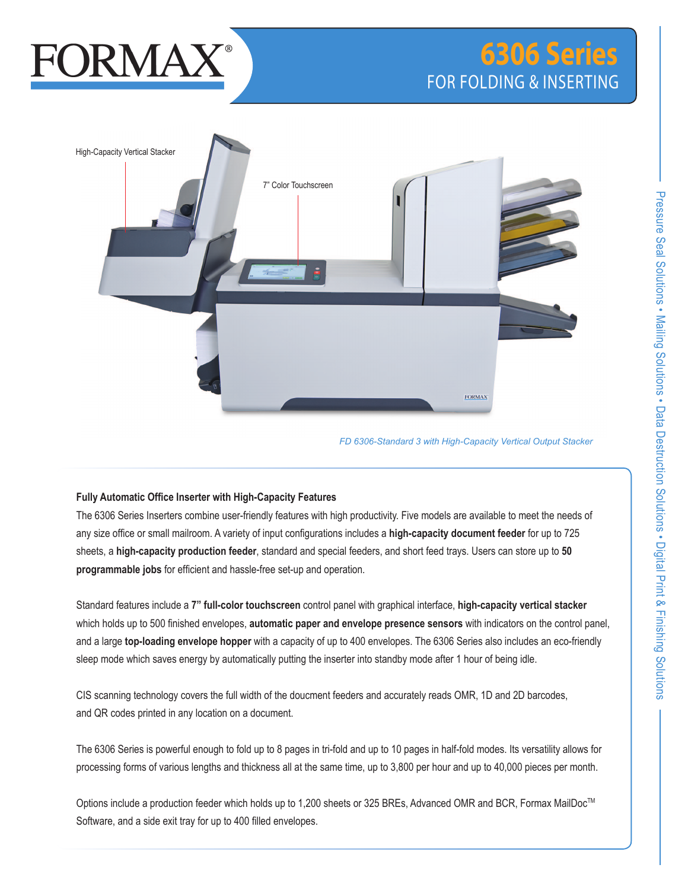# **FORMA**

# FOR FOLDING & INSERTING **6306 Series**



*FD 6306-Standard 3 with High-Capacity Vertical Output Stacker*

# **Fully Automatic Office Inserter with High-Capacity Features**

The 6306 Series Inserters combine user-friendly features with high productivity. Five models are available to meet the needs of any size office or small mailroom. A variety of input configurations includes a **high-capacity document feeder** for up to 725 sheets, a **high-capacity production feeder**, standard and special feeders, and short feed trays. Users can store up to **50 programmable jobs** for efficient and hassle-free set-up and operation.

Standard features include a **7" full-color touchscreen** control panel with graphical interface, **high-capacity vertical stacker** which holds up to 500 finished envelopes, **automatic paper and envelope presence sensors** with indicators on the control panel, and a large **top-loading envelope hopper** with a capacity of up to 400 envelopes. The 6306 Series also includes an eco-friendly sleep mode which saves energy by automatically putting the inserter into standby mode after 1 hour of being idle.

CIS scanning technology covers the full width of the doucment feeders and accurately reads OMR, 1D and 2D barcodes, and QR codes printed in any location on a document.

The 6306 Series is powerful enough to fold up to 8 pages in tri-fold and up to 10 pages in half-fold modes. Its versatility allows for processing forms of various lengths and thickness all at the same time, up to 3,800 per hour and up to 40,000 pieces per month.

Options include a production feeder which holds up to 1,200 sheets or 325 BREs, Advanced OMR and BCR, Formax MailDoc™ Software, and a side exit tray for up to 400 filled envelopes.